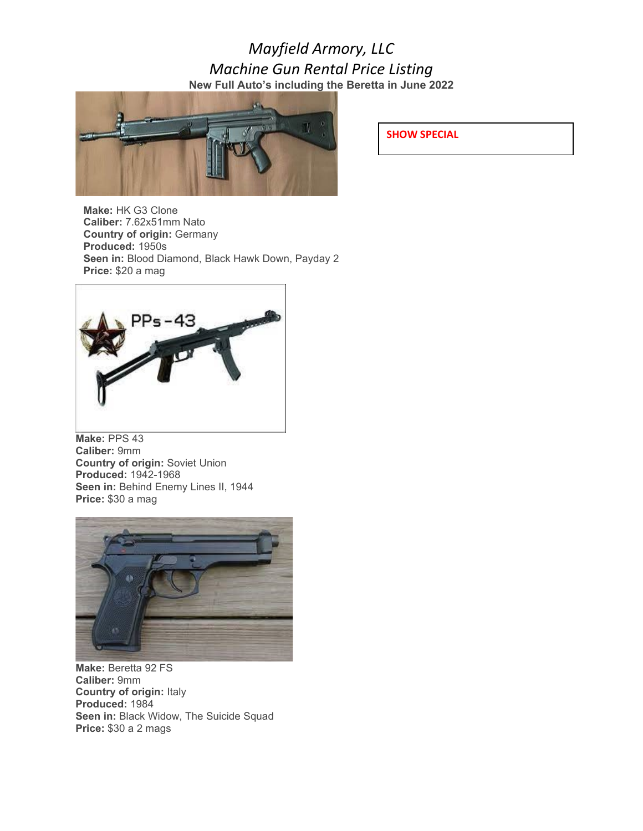## *Mayfield Armory, LLC Machine Gun Rental Price Listing* **New Full Auto's including the Beretta in June 2022**



**Make:** HK G3 Clone **Caliber:** 7.62x51mm Nato **Country of origin:** Germany **Produced:** 1950s **Seen in:** Blood Diamond, Black Hawk Down, Payday 2 **Price:** \$20 a mag



**Make:** PPS 43 **Caliber:** 9mm **Country of origin:** Soviet Union **Produced:** 1942-1968 Seen in: Behind Enemy Lines II, 1944 **Price:** \$30 a mag



**Make:** Beretta 92 FS **Caliber:** 9mm **Country of origin:** Italy **Produced:** 1984 **Seen in:** Black Widow, The Suicide Squad **Price:** \$30 a 2 mags

**SHOW SPECIAL**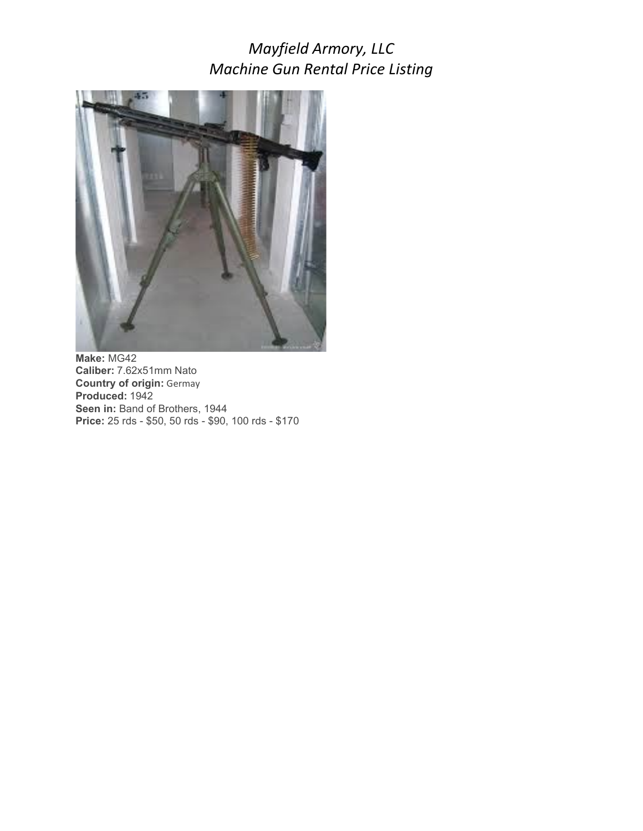

**Make:** MG42 **Caliber:** 7.62x51mm Nato **Country of origin:** Germay **Produced:** 1942 Seen in: Band of Brothers, 1944 **Price:** 25 rds - \$50, 50 rds - \$90, 100 rds - \$170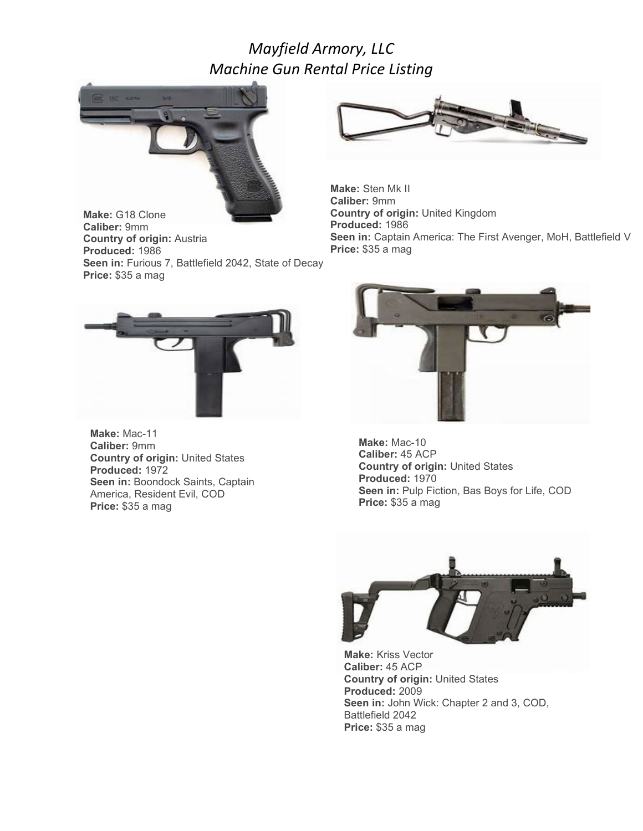

**Make:** G18 Clone **Caliber:** 9mm **Country of origin:** Austria **Produced:** 1986 **Seen in:** Furious 7, Battlefield 2042, State of Decay **Price:** \$35 a mag



**Make:** Sten Mk II **Caliber:** 9mm **Country of origin:** United Kingdom **Produced:** 1986 **Seen in:** Captain America: The First Avenger, MoH, Battlefield V **Price:** \$35 a mag



**Make:** Mac-11 **Caliber:** 9mm **Country of origin:** United States **Produced:** 1972 **Seen in:** Boondock Saints, Captain America, Resident Evil, COD **Price:** \$35 a mag



**Make:** Mac-10 **Caliber:** 45 ACP **Country of origin:** United States **Produced:** 1970 **Seen in:** Pulp Fiction, Bas Boys for Life, COD **Price:** \$35 a mag



**Make:** Kriss Vector **Caliber:** 45 ACP **Country of origin:** United States **Produced:** 2009 **Seen in:** John Wick: Chapter 2 and 3, COD, Battlefield 2042 **Price:** \$35 a mag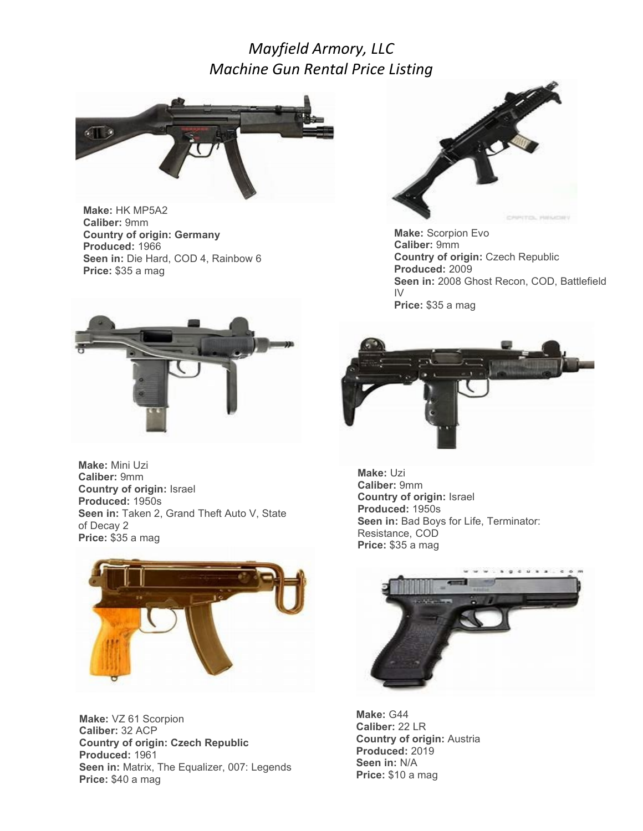

**Make:** HK MP5A2 **Caliber:** 9mm **Country of origin: Germany Produced:** 1966 **Seen in:** Die Hard, COD 4, Rainbow 6 **Price:** \$35 a mag



**Make:** Mini Uzi **Caliber:** 9mm **Country of origin:** Israel **Produced:** 1950s **Seen in:** Taken 2, Grand Theft Auto V, State of Decay 2 **Price:** \$35 a mag



**Make:** VZ 61 Scorpion **Caliber:** 32 ACP **Country of origin: Czech Republic Produced:** 1961 **Seen in:** Matrix, The Equalizer, 007: Legends **Price:** \$40 a mag



**Make:** Scorpion Evo **Caliber:** 9mm **Country of origin:** Czech Republic **Produced:** 2009 **Seen in:** 2008 Ghost Recon, COD, Battlefield IV **Price:** \$35 a mag



**Make:** Uzi **Caliber:** 9mm **Country of origin:** Israel **Produced:** 1950s **Seen in:** Bad Boys for Life, Terminator: Resistance, COD **Price:** \$35 a mag



**Make:** G44 **Caliber:** 22 LR **Country of origin:** Austria **Produced:** 2019 **Seen in:** N/A **Price:** \$10 a mag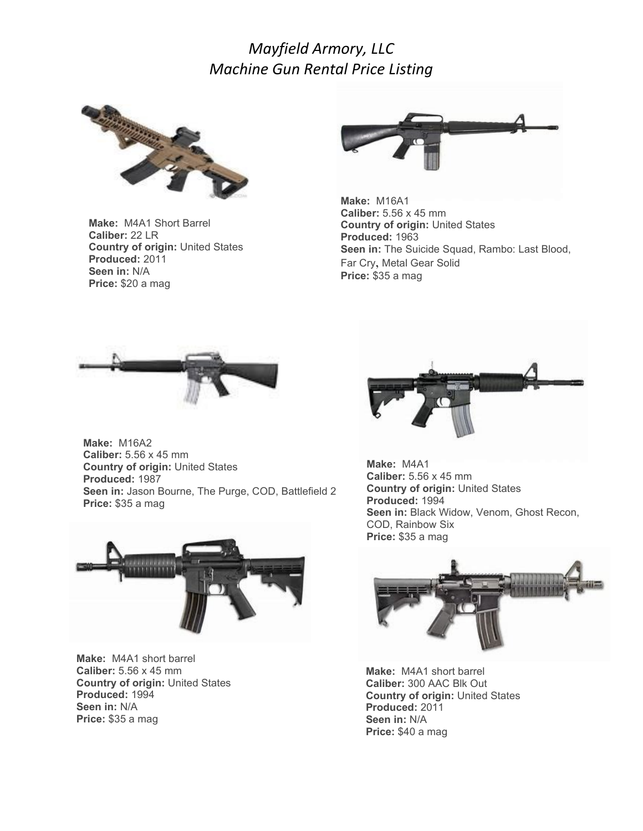

**Make:** M4A1 Short Barrel **Caliber:** 22 LR **Country of origin:** United States **Produced:** 2011 **Seen in:** N/A **Price:** \$20 a mag



**Make:** M16A1 **Caliber:** 5.56 x 45 mm **Country of origin:** United States **Produced:** 1963 **Seen in:** The Suicide Squad, Rambo: Last Blood, Far Cry, Metal Gear Solid **Price:** \$35 a mag



**Make:** M16A2 **Caliber:** 5.56 x 45 mm **Country of origin:** United States **Produced:** 1987 **Seen in:** Jason Bourne, The Purge, COD, Battlefield 2 **Price:** \$35 a mag



**Make:** M4A1 short barrel **Caliber:** 5.56 x 45 mm **Country of origin:** United States **Produced:** 1994 **Seen in:** N/A **Price:** \$35 a mag



**Make:** M4A1 **Caliber:** 5.56 x 45 mm **Country of origin:** United States **Produced:** 1994 **Seen in:** Black Widow, Venom, Ghost Recon, COD, Rainbow Six **Price:** \$35 a mag



**Make:** M4A1 short barrel **Caliber:** 300 AAC Blk Out **Country of origin:** United States **Produced:** 2011 **Seen in:** N/A **Price:** \$40 a mag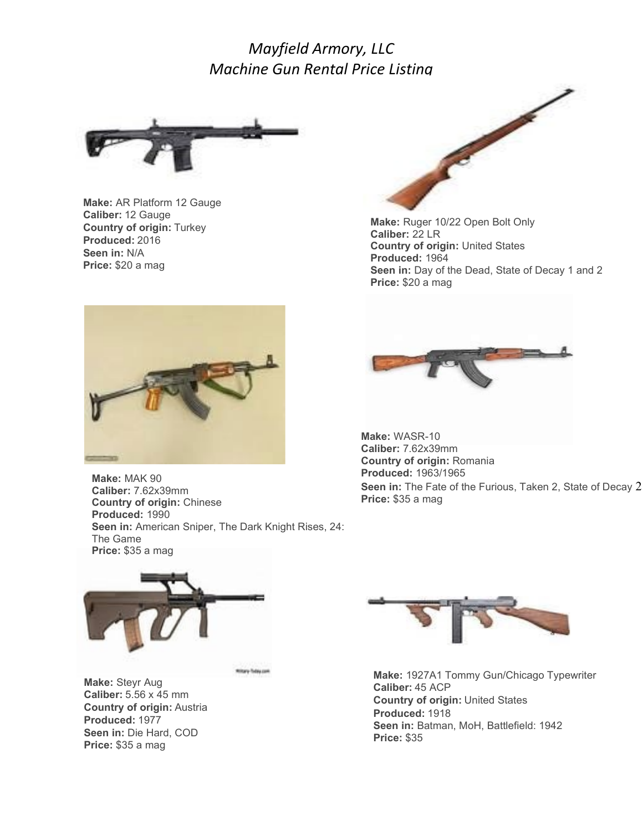

**Make:** AR Platform 12 Gauge **Caliber:** 12 Gauge **Country of origin:** Turkey **Produced:** 2016 **Seen in:** N/A **Price:** \$20 a mag



**Make:** MAK 90 **Caliber:** 7.62x39mm **Country of origin:** Chinese **Produced:** 1990 **Seen in:** American Sniper, The Dark Knight Rises, 24: The Game **Price:** \$35 a mag

Military Today com



**Make:** Steyr Aug **Caliber:** 5.56 x 45 mm **Country of origin:** Austria **Produced:** 1977 **Seen in:** Die Hard, COD **Price:** \$35 a mag



**Make:** Ruger 10/22 Open Bolt Only **Caliber:** 22 LR **Country of origin:** United States **Produced:** 1964 **Seen in:** Day of the Dead, State of Decay 1 and 2 **Price:** \$20 a mag



**Make:** WASR-10 **Caliber:** 7.62x39mm **Country of origin:** Romania **Produced:** 1963/1965 **Seen in:** The Fate of the Furious, Taken 2, State of Decay 2 **Price:** \$35 a mag



**Make:** 1927A1 Tommy Gun/Chicago Typewriter **Caliber:** 45 ACP **Country of origin:** United States **Produced:** 1918 **Seen in:** Batman, MoH, Battlefield: 1942 **Price:** \$35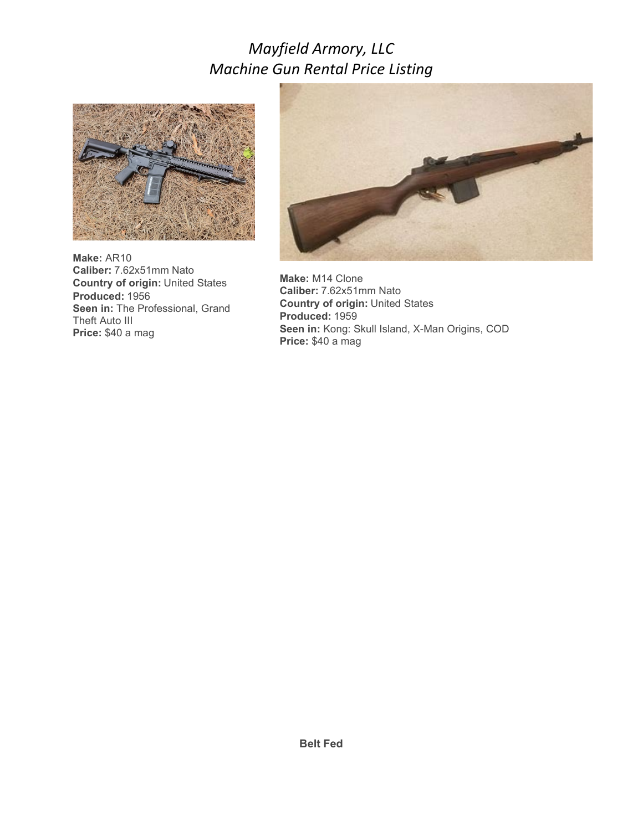

**Make:** AR10 **Caliber:** 7.62x51mm Nato **Country of origin:** United States **Produced:** 1956 **Seen in: The Professional, Grand** Theft Auto III **Price:** \$40 a mag



**Make:** M14 Clone **Caliber:** 7.62x51mm Nato **Country of origin:** United States **Produced:** 1959 **Seen in:** Kong: Skull Island, X-Man Origins, COD **Price:** \$40 a mag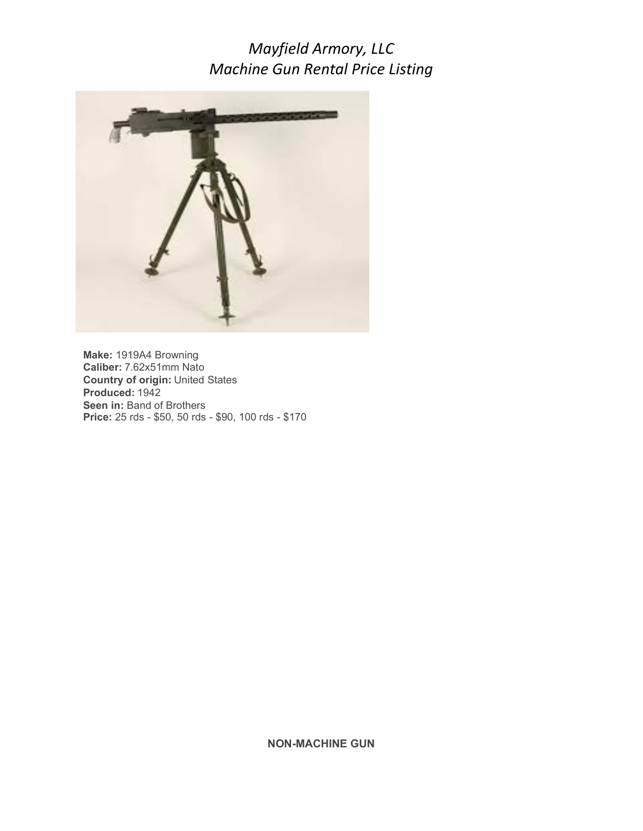

**Make:** 1919A4 Browning **Caliber:** 7.62x51mm Nato **Country of origin:** United States **Produced:** 1942 **Seen in: Band of Brothers Price:** 25 rds - \$50, 50 rds - \$90, 100 rds - \$170

**NON-MACHINE GUN**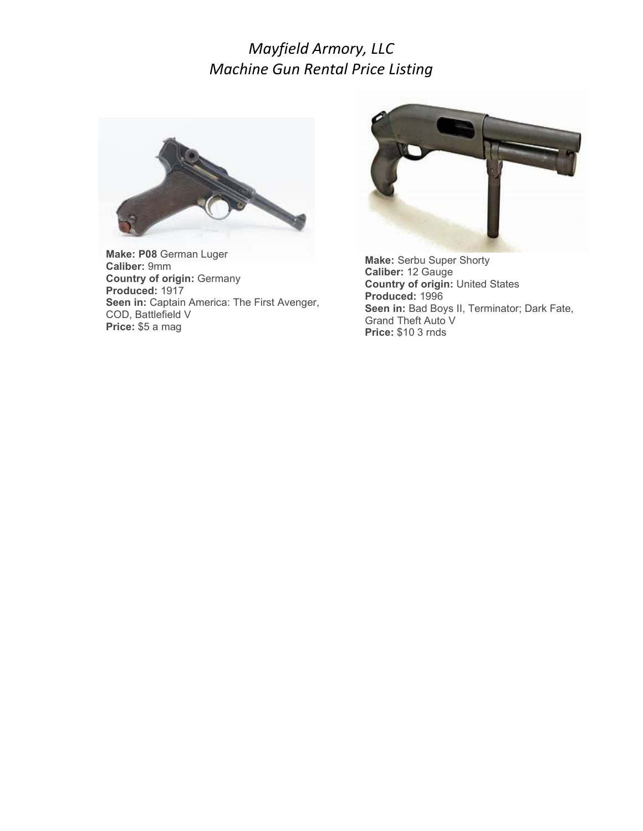

**Make: P08** German Luger **Caliber:** 9mm **Country of origin:** Germany **Produced:** 1917 **Seen in:** Captain America: The First Avenger, COD, Battlefield V **Price:** \$5 a mag



**Make:** Serbu Super Shorty **Caliber:** 12 Gauge **Country of origin:** United States **Produced:** 1996 **Seen in:** Bad Boys II, Terminator; Dark Fate, Grand Theft Auto V **Price:** \$10 3 rnds